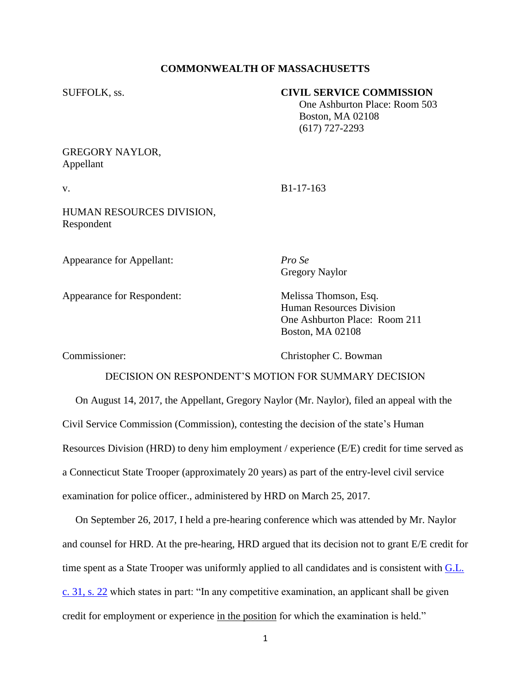## **COMMONWEALTH OF MASSACHUSETTS**

### SUFFOLK, ss. **CIVIL SERVICE COMMISSION**

 One Ashburton Place: Room 503 Boston, MA 02108 (617) 727-2293

# GREGORY NAYLOR, Appellant

v. B1-17-163

HUMAN RESOURCES DIVISION, Respondent

Appearance for Appellant: *Pro Se*

Gregory Naylor

Appearance for Respondent: Melissa Thomson, Esq.

Human Resources Division One Ashburton Place: Room 211 Boston, MA 02108

Commissioner: Christopher C. Bowman

## DECISION ON RESPONDENT'S MOTION FOR SUMMARY DECISION

 On August 14, 2017, the Appellant, Gregory Naylor (Mr. Naylor), filed an appeal with the Civil Service Commission (Commission), contesting the decision of the state's Human Resources Division (HRD) to deny him employment / experience (E/E) credit for time served as a Connecticut State Trooper (approximately 20 years) as part of the entry-level civil service examination for police officer., administered by HRD on March 25, 2017.

 On September 26, 2017, I held a pre-hearing conference which was attended by Mr. Naylor and counsel for HRD. At the pre-hearing, HRD argued that its decision not to grant E/E credit for time spent as a State Trooper was uniformly applied to all candidates and is consistent with G.L. [c. 31, s. 22](https://malegislature.gov/Laws/GeneralLaws/PartI/TitleIV/Chapter31/Section22) which states in part: "In any competitive examination, an applicant shall be given credit for employment or experience in the position for which the examination is held."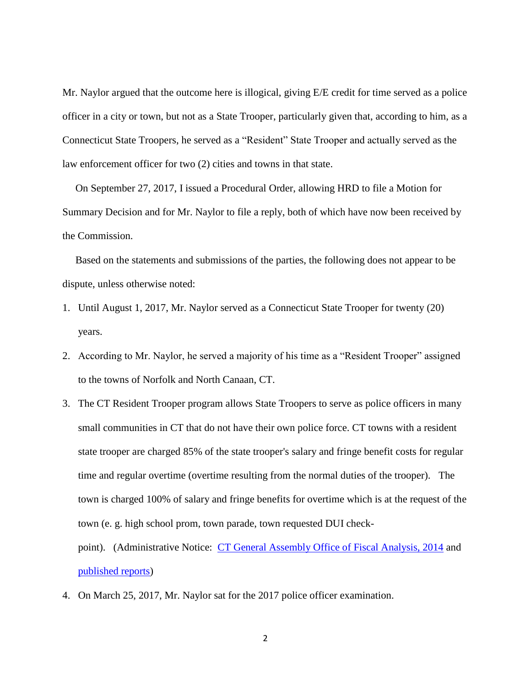Mr. Naylor argued that the outcome here is illogical, giving E/E credit for time served as a police officer in a city or town, but not as a State Trooper, particularly given that, according to him, as a Connecticut State Troopers, he served as a "Resident" State Trooper and actually served as the law enforcement officer for two (2) cities and towns in that state.

 On September 27, 2017, I issued a Procedural Order, allowing HRD to file a Motion for Summary Decision and for Mr. Naylor to file a reply, both of which have now been received by the Commission.

 Based on the statements and submissions of the parties, the following does not appear to be dispute, unless otherwise noted:

- 1. Until August 1, 2017, Mr. Naylor served as a Connecticut State Trooper for twenty (20) years.
- 2. According to Mr. Naylor, he served a majority of his time as a "Resident Trooper" assigned to the towns of Norfolk and North Canaan, CT.
- 3. The CT Resident Trooper program allows State Troopers to serve as police officers in many small communities in CT that do not have their own police force. CT towns with a resident state trooper are charged 85% of the state trooper's salary and fringe benefit costs for regular time and regular overtime (overtime resulting from the normal duties of the trooper). The town is charged 100% of salary and fringe benefits for overtime which is at the request of the town (e. g. high school prom, town parade, town requested DUI check-

point). (Administrative Notice: [CT General Assembly Office of Fiscal Analysis, 2014](https://www.cga.ct.gov/2014/ofarpt/2014OFA-0368.htm) and [published reports\)](http://www.courant.com/politics/hc-resident-state-troopers-20170223-story.html)

4. On March 25, 2017, Mr. Naylor sat for the 2017 police officer examination.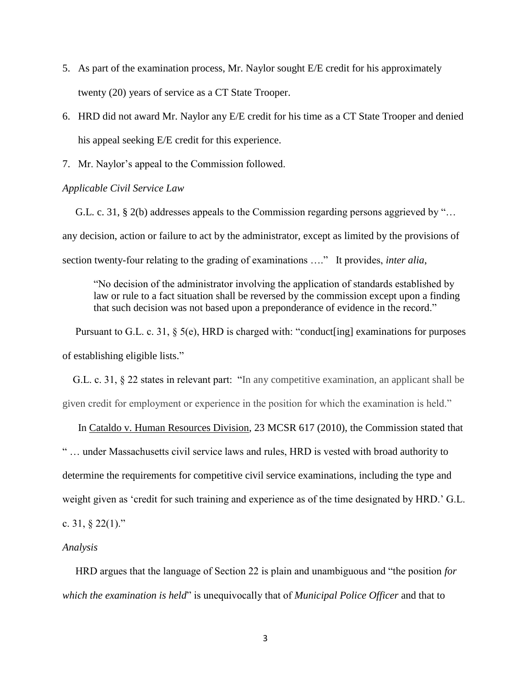- 5. As part of the examination process, Mr. Naylor sought E/E credit for his approximately twenty (20) years of service as a CT State Trooper.
- 6. HRD did not award Mr. Naylor any E/E credit for his time as a CT State Trooper and denied his appeal seeking E/E credit for this experience.
- 7. Mr. Naylor's appeal to the Commission followed.

### *Applicable Civil Service Law*

 G.L. c. 31, § 2(b) addresses appeals to the Commission regarding persons aggrieved by "… any decision, action or failure to act by the administrator, except as limited by the provisions of section twenty-four relating to the grading of examinations …." It provides, *inter alia*,

"No decision of the administrator involving the application of standards established by law or rule to a fact situation shall be reversed by the commission except upon a finding that such decision was not based upon a preponderance of evidence in the record."

Pursuant to G.L. c. 31, § 5(e), HRD is charged with: "conduct[ing] examinations for purposes of establishing eligible lists."

 G.L. c. 31, § 22 states in relevant part: "In any competitive examination, an applicant shall be given credit for employment or experience in the position for which the examination is held."

 In Cataldo v. Human Resources Division, 23 MCSR 617 (2010), the Commission stated that " … under Massachusetts civil service laws and rules, HRD is vested with broad authority to determine the requirements for competitive civil service examinations, including the type and weight given as 'credit for such training and experience as of the time designated by HRD.' G.L.

```
c. 31, § 22(1)."
```
### *Analysis*

 HRD argues that the language of Section 22 is plain and unambiguous and "the position *for which the examination is held*" is unequivocally that of *Municipal Police Officer* and that to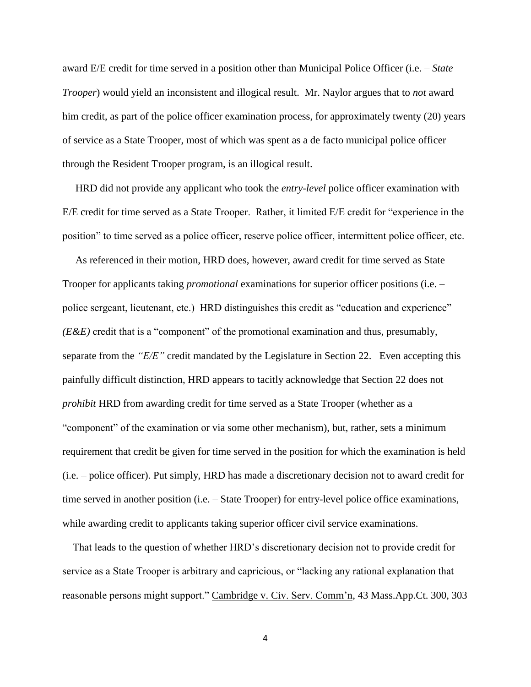award E/E credit for time served in a position other than Municipal Police Officer (i.e. – *State Trooper*) would yield an inconsistent and illogical result. Mr. Naylor argues that to *not* award him credit, as part of the police officer examination process, for approximately twenty (20) years of service as a State Trooper, most of which was spent as a de facto municipal police officer through the Resident Trooper program, is an illogical result.

 HRD did not provide any applicant who took the *entry-level* police officer examination with E/E credit for time served as a State Trooper. Rather, it limited E/E credit for "experience in the position" to time served as a police officer, reserve police officer, intermittent police officer, etc.

 As referenced in their motion, HRD does, however, award credit for time served as State Trooper for applicants taking *promotional* examinations for superior officer positions (i.e. – police sergeant, lieutenant, etc.) HRD distinguishes this credit as "education and experience" *(E&E)* credit that is a "component" of the promotional examination and thus, presumably, separate from the *"E/E"* credit mandated by the Legislature in Section 22. Even accepting this painfully difficult distinction, HRD appears to tacitly acknowledge that Section 22 does not *prohibit* HRD from awarding credit for time served as a State Trooper (whether as a "component" of the examination or via some other mechanism), but, rather, sets a minimum requirement that credit be given for time served in the position for which the examination is held (i.e. – police officer). Put simply, HRD has made a discretionary decision not to award credit for time served in another position (i.e. – State Trooper) for entry-level police office examinations, while awarding credit to applicants taking superior officer civil service examinations.

 That leads to the question of whether HRD's discretionary decision not to provide credit for service as a State Trooper is arbitrary and capricious, or "lacking any rational explanation that reasonable persons might support." Cambridge v. Civ. Serv. Comm'n, 43 Mass.App.Ct. 300, 303

4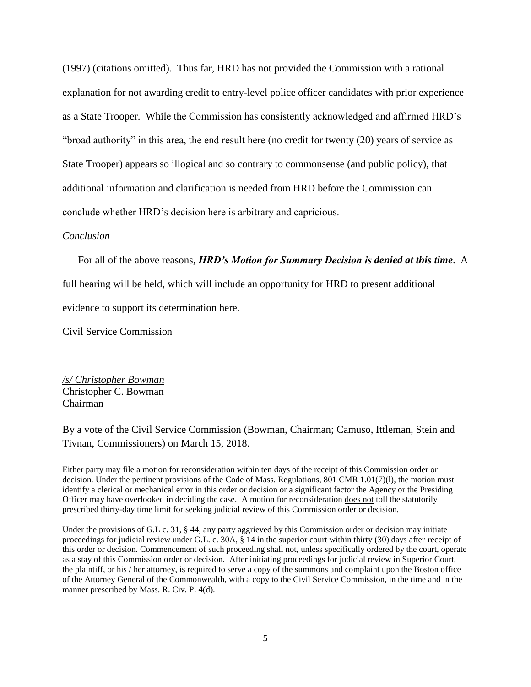(1997) (citations omitted). Thus far, HRD has not provided the Commission with a rational explanation for not awarding credit to entry-level police officer candidates with prior experience as a State Trooper. While the Commission has consistently acknowledged and affirmed HRD's "broad authority" in this area, the end result here ( $\underline{no}$  credit for twenty (20) years of service as State Trooper) appears so illogical and so contrary to commonsense (and public policy), that additional information and clarification is needed from HRD before the Commission can conclude whether HRD's decision here is arbitrary and capricious.

#### *Conclusion*

For all of the above reasons, *HRD's Motion for Summary Decision is denied at this time*. A

full hearing will be held, which will include an opportunity for HRD to present additional

evidence to support its determination here.

Civil Service Commission

*/s/ Christopher Bowman* Christopher C. Bowman Chairman

By a vote of the Civil Service Commission (Bowman, Chairman; Camuso, Ittleman, Stein and Tivnan, Commissioners) on March 15, 2018.

Either party may file a motion for reconsideration within ten days of the receipt of this Commission order or decision. Under the pertinent provisions of the Code of Mass. Regulations, 801 CMR 1.01(7)(l), the motion must identify a clerical or mechanical error in this order or decision or a significant factor the Agency or the Presiding Officer may have overlooked in deciding the case. A motion for reconsideration does not toll the statutorily prescribed thirty-day time limit for seeking judicial review of this Commission order or decision.

Under the provisions of G.L c. 31, § 44, any party aggrieved by this Commission order or decision may initiate proceedings for judicial review under G.L. c. 30A, § 14 in the superior court within thirty (30) days after receipt of this order or decision. Commencement of such proceeding shall not, unless specifically ordered by the court, operate as a stay of this Commission order or decision. After initiating proceedings for judicial review in Superior Court, the plaintiff, or his / her attorney, is required to serve a copy of the summons and complaint upon the Boston office of the Attorney General of the Commonwealth, with a copy to the Civil Service Commission, in the time and in the manner prescribed by Mass. R. Civ. P. 4(d).